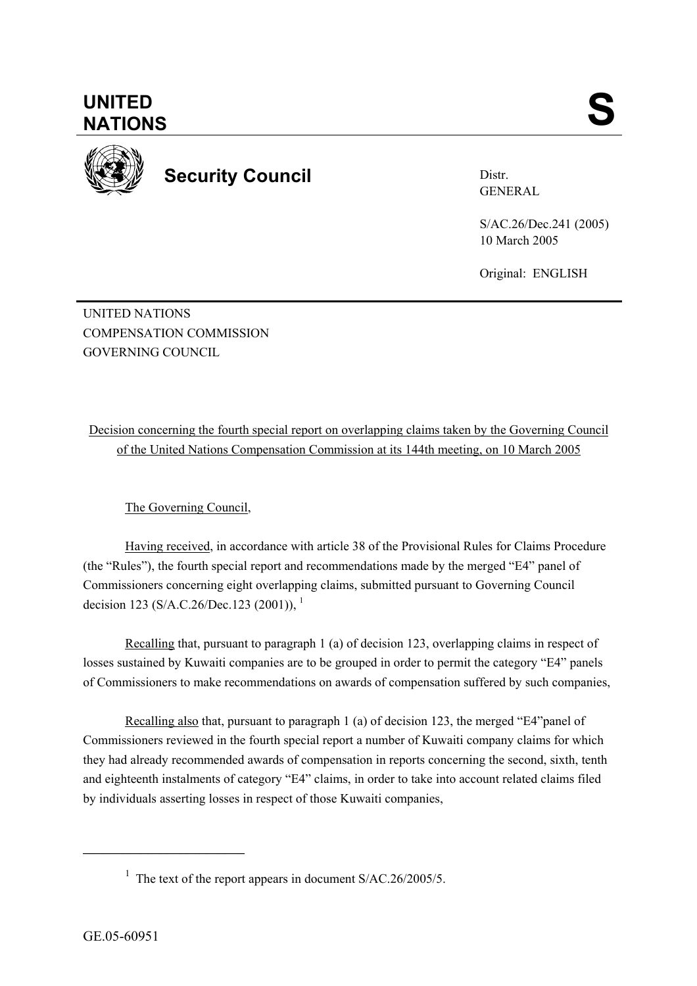

**Security Council** 

Distr. GENERAL

S/AC.26/Dec.241 (2005) 10 March 2005

Original: ENGLISH

UNITED NATIONS COMPENSATION COMMISSION GOVERNING COUNCIL

Decision concerning the fourth special report on overlapping claims taken by the Governing Council of the United Nations Compensation Commission at its 144th meeting, on 10 March 2005

The Governing Council,

Having received, in accordance with article 38 of the Provisional Rules for Claims Procedure (the "Rules"), the fourth special report and recommendations made by the merged "E4" panel of Commissioners concerning eight overlapping claims, submitted pursuant to Governing Council decision 123 (S/A.C.26/Dec.123 (2001)),  $^{1}$ 

Recalling that, pursuant to paragraph 1 (a) of decision 123, overlapping claims in respect of losses sustained by Kuwaiti companies are to be grouped in order to permit the category "E4" panels of Commissioners to make recommendations on awards of compensation suffered by such companies,

Recalling also that, pursuant to paragraph 1 (a) of decision 123, the merged "E4"panel of Commissioners reviewed in the fourth special report a number of Kuwaiti company claims for which they had already recommended awards of compensation in reports concerning the second, sixth, tenth and eighteenth instalments of category "E4" claims, in order to take into account related claims filed by individuals asserting losses in respect of those Kuwaiti companies,

 $\mathcal{L}=\{1,2,3,4,5\}$ 

<sup>&</sup>lt;sup>1</sup> The text of the report appears in document  $S/AC.26/2005/5$ .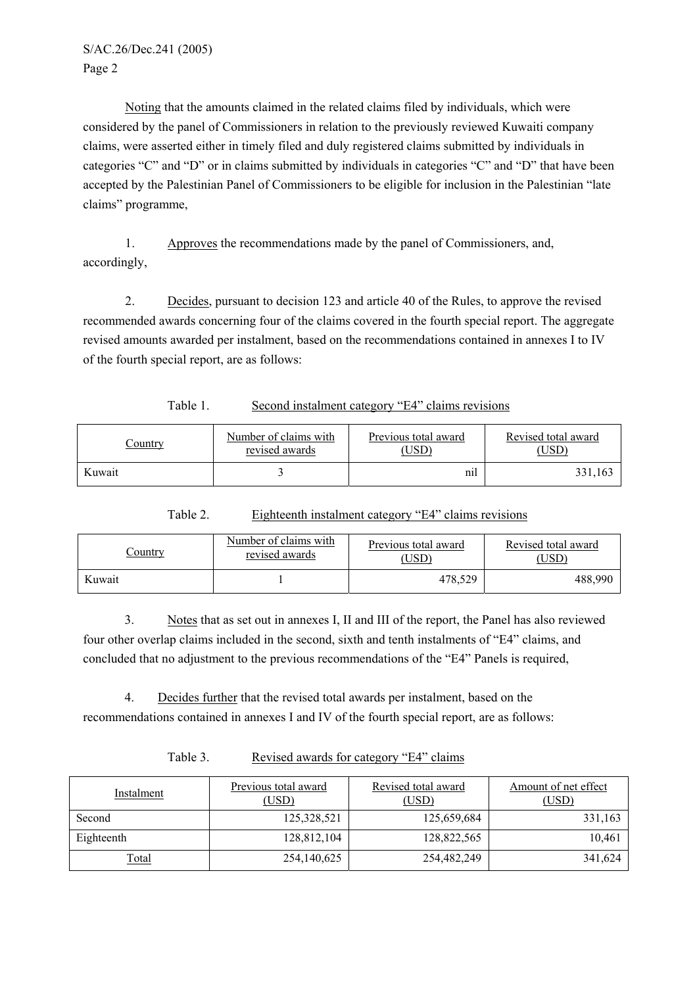S/AC.26/Dec.241 (2005) Page 2

Noting that the amounts claimed in the related claims filed by individuals, which were considered by the panel of Commissioners in relation to the previously reviewed Kuwaiti company claims, were asserted either in timely filed and duly registered claims submitted by individuals in categories "C" and "D" or in claims submitted by individuals in categories "C" and "D" that have been accepted by the Palestinian Panel of Commissioners to be eligible for inclusion in the Palestinian "late claims" programme,

1. Approves the recommendations made by the panel of Commissioners, and, accordingly,

2. Decides, pursuant to decision 123 and article 40 of the Rules, to approve the revised recommended awards concerning four of the claims covered in the fourth special report. The aggregate revised amounts awarded per instalment, based on the recommendations contained in annexes I to IV of the fourth special report, are as follows:

Table 1. Second instalment category "E4" claims revisions

| <u>Country</u> | Number of claims with | Previous total award | Revised total award |
|----------------|-----------------------|----------------------|---------------------|
|                | revised awards        | USD)                 | USD`                |
| Kuwait         |                       | nıl                  | 331,163             |

Table 2. Eighteenth instalment category "E4" claims revisions

| <u>Country</u> | Number of claims with | Previous total award | Revised total award |
|----------------|-----------------------|----------------------|---------------------|
|                | revised awards        | USD)                 | USD)                |
| Kuwait         |                       | 478.529              | 488,990             |

3. Notes that as set out in annexes I, II and III of the report, the Panel has also reviewed four other overlap claims included in the second, sixth and tenth instalments of "E4" claims, and concluded that no adjustment to the previous recommendations of the "E4" Panels is required,

4. Decides further that the revised total awards per instalment, based on the recommendations contained in annexes I and IV of the fourth special report, are as follows:

| Instalment   | Previous total award<br>(USD) | Revised total award<br>(USD) | Amount of net effect<br>(USD` |
|--------------|-------------------------------|------------------------------|-------------------------------|
| Second       | 125,328,521                   | 125,659,684                  | 331,163                       |
| Eighteenth   | 128,812,104                   | 128,822,565                  | 10,461                        |
| <u>Total</u> | 254,140,625                   | 254,482,249                  | 341,624                       |

## Table 3. Revised awards for category "E4" claims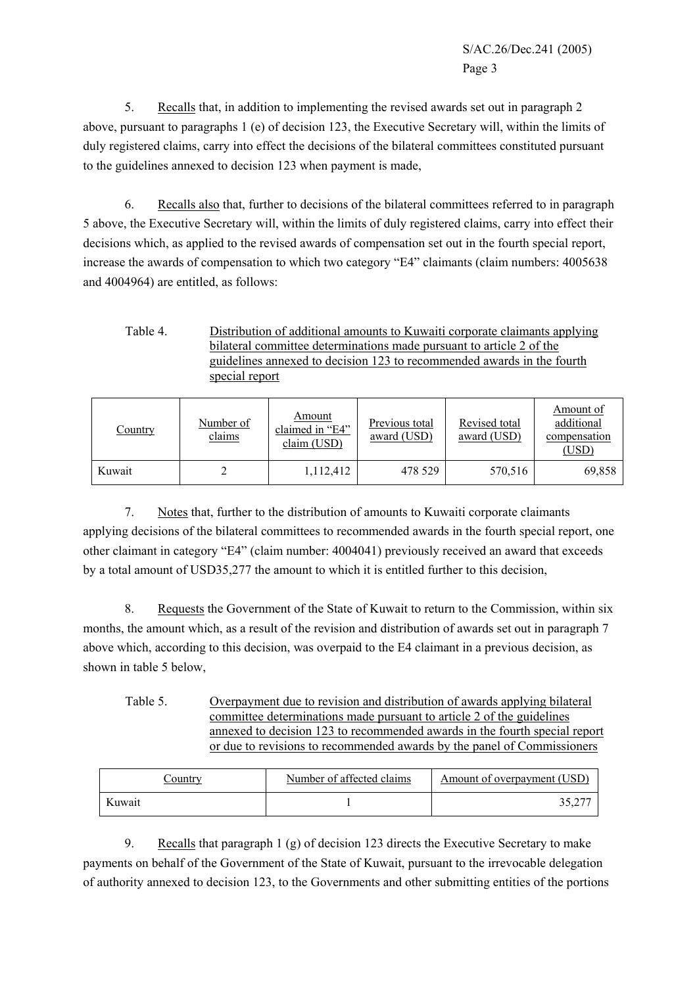5. Recalls that, in addition to implementing the revised awards set out in paragraph 2 above, pursuant to paragraphs 1 (e) of decision 123, the Executive Secretary will, within the limits of duly registered claims, carry into effect the decisions of the bilateral committees constituted pursuant to the guidelines annexed to decision 123 when payment is made,

6. Recalls also that, further to decisions of the bilateral committees referred to in paragraph 5 above, the Executive Secretary will, within the limits of duly registered claims, carry into effect their decisions which, as applied to the revised awards of compensation set out in the fourth special report, increase the awards of compensation to which two category "E4" claimants (claim numbers: 4005638 and 4004964) are entitled, as follows:

Table 4. Distribution of additional amounts to Kuwaiti corporate claimants applying bilateral committee determinations made pursuant to article 2 of the guidelines annexed to decision 123 to recommended awards in the fourth special report

| Country | Number of<br>claims | Amount<br>claimed in "E4"<br>claim (USD) | Previous total<br>award (USD) | Revised total<br>award (USD) | Amount of<br>additional<br>compensation<br>(USD) |
|---------|---------------------|------------------------------------------|-------------------------------|------------------------------|--------------------------------------------------|
| Kuwait  |                     | 1,112,412                                | 478 529                       | 570,516                      | 69,858                                           |

7. Notes that, further to the distribution of amounts to Kuwaiti corporate claimants applying decisions of the bilateral committees to recommended awards in the fourth special report, one other claimant in category "E4" (claim number: 4004041) previously received an award that exceeds by a total amount of USD35,277 the amount to which it is entitled further to this decision,

8. Requests the Government of the State of Kuwait to return to the Commission, within six months, the amount which, as a result of the revision and distribution of awards set out in paragraph 7 above which, according to this decision, was overpaid to the E4 claimant in a previous decision, as shown in table 5 below,

Table 5. Overpayment due to revision and distribution of awards applying bilateral committee determinations made pursuant to article 2 of the guidelines annexed to decision 123 to recommended awards in the fourth special report or due to revisions to recommended awards by the panel of Commissioners

| Country | Number of affected claims | Amount of overpayment (USD) |
|---------|---------------------------|-----------------------------|
| Kuwait  |                           |                             |

9. Recalls that paragraph 1 (g) of decision 123 directs the Executive Secretary to make payments on behalf of the Government of the State of Kuwait, pursuant to the irrevocable delegation of authority annexed to decision 123, to the Governments and other submitting entities of the portions